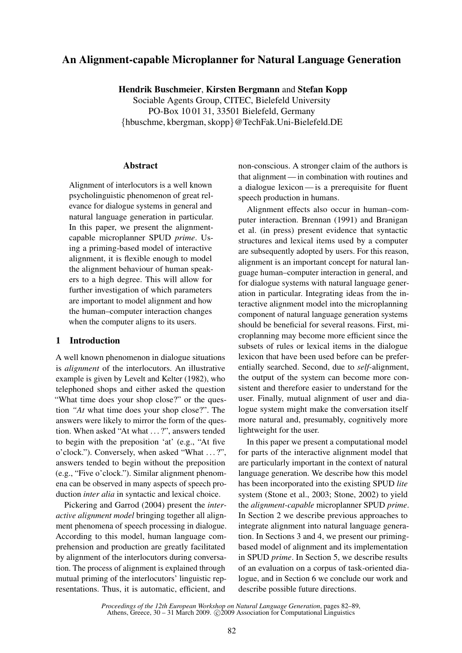# An Alignment-capable Microplanner for Natural Language Generation

Hendrik Buschmeier, Kirsten Bergmann and Stefan Kopp

Sociable Agents Group, CITEC, Bielefeld University PO-Box 10 01 31, 33501 Bielefeld, Germany {hbuschme, kbergman, skopp}@TechFak.Uni-Bielefeld.DE

### Abstract

Alignment of interlocutors is a well known psycholinguistic phenomenon of great relevance for dialogue systems in general and natural language generation in particular. In this paper, we present the alignmentcapable microplanner SPUD *prime*. Using a priming-based model of interactive alignment, it is flexible enough to model the alignment behaviour of human speakers to a high degree. This will allow for further investigation of which parameters are important to model alignment and how the human–computer interaction changes when the computer aligns to its users.

# 1 Introduction

A well known phenomenon in dialogue situations is *alignment* of the interlocutors. An illustrative example is given by Levelt and Kelter (1982), who telephoned shops and either asked the question "What time does your shop close?" or the question *"At* what time does your shop close?". The answers were likely to mirror the form of the question. When asked "At what ...?", answers tended to begin with the preposition 'at' (e.g., "At five o'clock."). Conversely, when asked "What ...?", answers tended to begin without the preposition (e.g., "Five o'clock."). Similar alignment phenomena can be observed in many aspects of speech production *inter alia* in syntactic and lexical choice.

Pickering and Garrod (2004) present the *interactive alignment model* bringing together all alignment phenomena of speech processing in dialogue. According to this model, human language comprehension and production are greatly facilitated by alignment of the interlocutors during conversation. The process of alignment is explained through mutual priming of the interlocutors' linguistic representations. Thus, it is automatic, efficient, and

non-conscious. A stronger claim of the authors is that alignment — in combination with routines and a dialogue lexicon — is a prerequisite for fluent speech production in humans.

Alignment effects also occur in human–computer interaction. Brennan (1991) and Branigan et al. (in press) present evidence that syntactic structures and lexical items used by a computer are subsequently adopted by users. For this reason, alignment is an important concept for natural language human–computer interaction in general, and for dialogue systems with natural language generation in particular. Integrating ideas from the interactive alignment model into the microplanning component of natural language generation systems should be beneficial for several reasons. First, microplanning may become more efficient since the subsets of rules or lexical items in the dialogue lexicon that have been used before can be preferentially searched. Second, due to *self-*alignment, the output of the system can become more consistent and therefore easier to understand for the user. Finally, mutual alignment of user and dialogue system might make the conversation itself more natural and, presumably, cognitively more lightweight for the user.

In this paper we present a computational model for parts of the interactive alignment model that are particularly important in the context of natural language generation. We describe how this model has been incorporated into the existing SPUD *lite* system (Stone et al., 2003; Stone, 2002) to yield the *alignment-capable* microplanner SPUD *prime*. In Section 2 we describe previous approaches to integrate alignment into natural language generation. In Sections 3 and 4, we present our primingbased model of alignment and its implementation in SPUD *prime*. In Section 5, we describe results of an evaluation on a corpus of task-oriented dialogue, and in Section 6 we conclude our work and describe possible future directions.

*Proceedings of the 12th European Workshop on Natural Language Generation*, pages 82–89, Athens, Greece, 30 – 31 March 2009. © 2009 Association for Computational Linguistics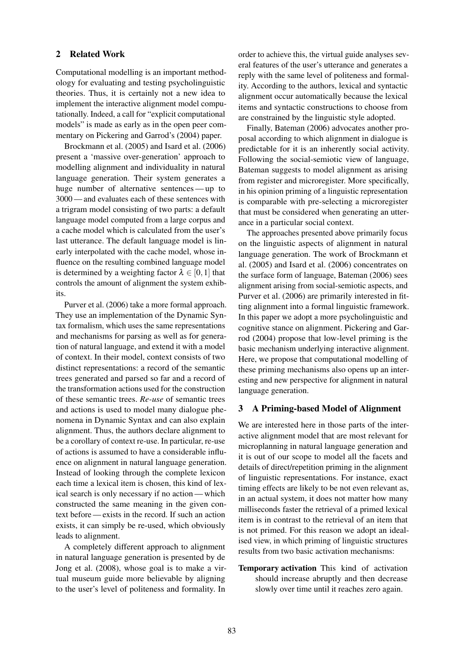#### 2 Related Work

Computational modelling is an important methodology for evaluating and testing psycholinguistic theories. Thus, it is certainly not a new idea to implement the interactive alignment model computationally. Indeed, a call for "explicit computational models" is made as early as in the open peer commentary on Pickering and Garrod's (2004) paper.

Brockmann et al. (2005) and Isard et al. (2006) present a 'massive over-generation' approach to modelling alignment and individuality in natural language generation. Their system generates a huge number of alternative sentences — up to 3000 — and evaluates each of these sentences with a trigram model consisting of two parts: a default language model computed from a large corpus and a cache model which is calculated from the user's last utterance. The default language model is linearly interpolated with the cache model, whose influence on the resulting combined language model is determined by a weighting factor  $\lambda \in [0,1]$  that controls the amount of alignment the system exhibits.

Purver et al. (2006) take a more formal approach. They use an implementation of the Dynamic Syntax formalism, which uses the same representations and mechanisms for parsing as well as for generation of natural language, and extend it with a model of context. In their model, context consists of two distinct representations: a record of the semantic trees generated and parsed so far and a record of the transformation actions used for the construction of these semantic trees. *Re-use* of semantic trees and actions is used to model many dialogue phenomena in Dynamic Syntax and can also explain alignment. Thus, the authors declare alignment to be a corollary of context re-use. In particular, re-use of actions is assumed to have a considerable influence on alignment in natural language generation. Instead of looking through the complete lexicon each time a lexical item is chosen, this kind of lexical search is only necessary if no action — which constructed the same meaning in the given context before — exists in the record. If such an action exists, it can simply be re-used, which obviously leads to alignment.

A completely different approach to alignment in natural language generation is presented by de Jong et al. (2008), whose goal is to make a virtual museum guide more believable by aligning to the user's level of politeness and formality. In order to achieve this, the virtual guide analyses several features of the user's utterance and generates a reply with the same level of politeness and formality. According to the authors, lexical and syntactic alignment occur automatically because the lexical items and syntactic constructions to choose from are constrained by the linguistic style adopted.

Finally, Bateman (2006) advocates another proposal according to which alignment in dialogue is predictable for it is an inherently social activity. Following the social-semiotic view of language, Bateman suggests to model alignment as arising from register and microregister. More specifically, in his opinion priming of a linguistic representation is comparable with pre-selecting a microregister that must be considered when generating an utterance in a particular social context.

The approaches presented above primarily focus on the linguistic aspects of alignment in natural language generation. The work of Brockmann et al. (2005) and Isard et al. (2006) concentrates on the surface form of language, Bateman (2006) sees alignment arising from social-semiotic aspects, and Purver et al. (2006) are primarily interested in fitting alignment into a formal linguistic framework. In this paper we adopt a more psycholinguistic and cognitive stance on alignment. Pickering and Garrod (2004) propose that low-level priming is the basic mechanism underlying interactive alignment. Here, we propose that computational modelling of these priming mechanisms also opens up an interesting and new perspective for alignment in natural language generation.

#### 3 A Priming-based Model of Alignment

We are interested here in those parts of the interactive alignment model that are most relevant for microplanning in natural language generation and it is out of our scope to model all the facets and details of direct/repetition priming in the alignment of linguistic representations. For instance, exact timing effects are likely to be not even relevant as, in an actual system, it does not matter how many milliseconds faster the retrieval of a primed lexical item is in contrast to the retrieval of an item that is not primed. For this reason we adopt an idealised view, in which priming of linguistic structures results from two basic activation mechanisms:

Temporary activation This kind of activation should increase abruptly and then decrease slowly over time until it reaches zero again.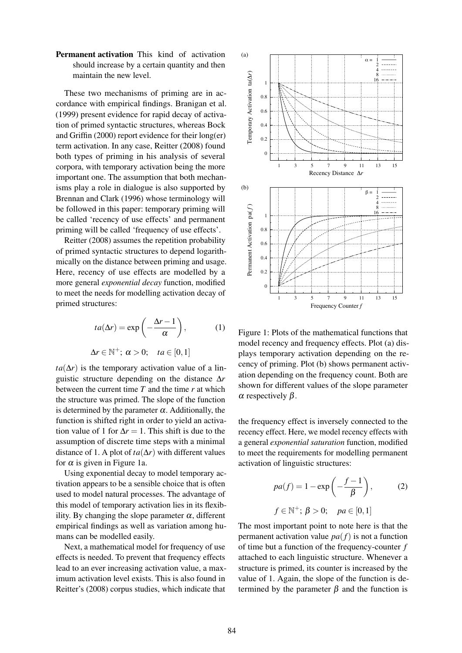Permanent activation This kind of activation should increase by a certain quantity and then maintain the new level.

These two mechanisms of priming are in accordance with empirical findings. Branigan et al. (1999) present evidence for rapid decay of activation of primed syntactic structures, whereas Bock and Griffin (2000) report evidence for their long(er) term activation. In any case, Reitter (2008) found both types of priming in his analysis of several corpora, with temporary activation being the more important one. The assumption that both mechanisms play a role in dialogue is also supported by Brennan and Clark (1996) whose terminology will be followed in this paper: temporary priming will be called 'recency of use effects' and permanent priming will be called 'frequency of use effects'.

Reitter (2008) assumes the repetition probability of primed syntactic structures to depend logarithmically on the distance between priming and usage. Here, recency of use effects are modelled by a more general *exponential decay* function, modified to meet the needs for modelling activation decay of primed structures:

$$
ta(\Delta r) = \exp\left(-\frac{\Delta r - 1}{\alpha}\right),\tag{1}
$$

$$
\Delta r \in \mathbb{N}^+; \ \alpha > 0; \quad ta \in [0,1]
$$

 $ta(\Delta r)$  is the temporary activation value of a linguistic structure depending on the distance ∆*r* between the current time *T* and the time *r* at which the structure was primed. The slope of the function is determined by the parameter  $\alpha$ . Additionally, the function is shifted right in order to yield an activation value of 1 for  $\Delta r = 1$ . This shift is due to the assumption of discrete time steps with a minimal distance of 1. A plot of  $ta(\Delta r)$  with different values for  $\alpha$  is given in Figure 1a.

Using exponential decay to model temporary activation appears to be a sensible choice that is often used to model natural processes. The advantage of this model of temporary activation lies in its flexibility. By changing the slope parameter  $\alpha$ , different empirical findings as well as variation among humans can be modelled easily.

Next, a mathematical model for frequency of use effects is needed. To prevent that frequency effects lead to an ever increasing activation value, a maximum activation level exists. This is also found in Reitter's (2008) corpus studies, which indicate that



Figure 1: Plots of the mathematical functions that model recency and frequency effects. Plot (a) displays temporary activation depending on the recency of priming. Plot (b) shows permanent activation depending on the frequency count. Both are shown for different values of the slope parameter α respectively  $β$ .

the frequency effect is inversely connected to the recency effect. Here, we model recency effects with a general *exponential saturation* function, modified to meet the requirements for modelling permanent activation of linguistic structures:

$$
pa(f) = 1 - \exp\left(-\frac{f-1}{\beta}\right),
$$
 (2)  

$$
f \in \mathbb{N}^+; \beta > 0; \quad pa \in [0,1]
$$

The most important point to note here is that the permanent activation value *pa*(*f*) is not a function of time but a function of the frequency-counter *f* attached to each linguistic structure. Whenever a structure is primed, its counter is increased by the value of 1. Again, the slope of the function is determined by the parameter  $\beta$  and the function is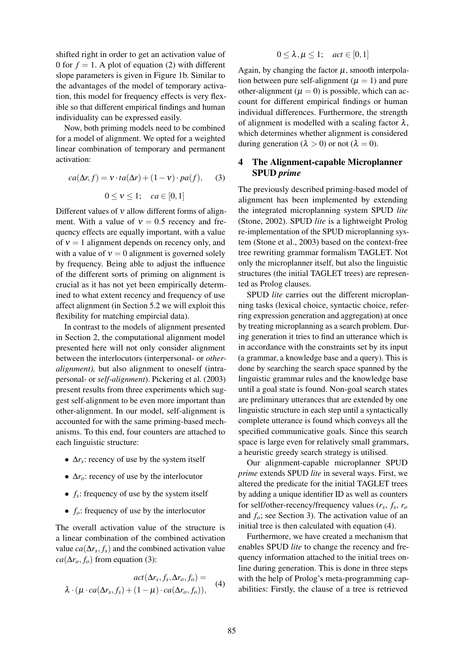shifted right in order to get an activation value of 0 for  $f = 1$ . A plot of equation (2) with different slope parameters is given in Figure 1b. Similar to the advantages of the model of temporary activation, this model for frequency effects is very flexible so that different empirical findings and human individuality can be expressed easily.

Now, both priming models need to be combined for a model of alignment. We opted for a weighted linear combination of temporary and permanent activation:

$$
ca(\Delta r, f) = v \cdot ta(\Delta r) + (1 - v) \cdot pa(f), \quad (3)
$$

$$
0 \le v \le 1; \quad ca \in [0, 1]
$$

Different values of ν allow different forms of alignment. With a value of  $v = 0.5$  recency and frequency effects are equally important, with a value of  $v = 1$  alignment depends on recency only, and with a value of  $v = 0$  alignment is governed solely by frequency. Being able to adjust the influence of the different sorts of priming on alignment is crucial as it has not yet been empirically determined to what extent recency and frequency of use affect alignment (in Section 5.2 we will exploit this flexibility for matching empircial data).

In contrast to the models of alignment presented in Section 2, the computational alignment model presented here will not only consider alignment between the interlocutors (interpersonal- or *otheralignment),* but also alignment to oneself (intrapersonal- or *self-alignment*). Pickering et al. (2003) present results from three experiments which suggest self-alignment to be even more important than other-alignment. In our model, self-alignment is accounted for with the same priming-based mechanisms. To this end, four counters are attached to each linguistic structure:

- ∆*r<sup>s</sup>* : recency of use by the system itself
- ∆*ro*: recency of use by the interlocutor
- *f<sup>s</sup>* : frequency of use by the system itself
- *fo*: frequency of use by the interlocutor

The overall activation value of the structure is a linear combination of the combined activation value  $ca(\Delta r_s, f_s)$  and the combined activation value  $ca(\Delta r_o, f_o)$  from equation (3):

$$
act(\Delta r_s, f_s, \Delta r_o, f_o) =
$$
  

$$
\lambda \cdot (\mu \cdot ca(\Delta r_s, f_s) + (1 - \mu) \cdot ca(\Delta r_o, f_o)),
$$
 (4)

$$
0 \leq \lambda, \mu \leq 1; \quad act \in [0,1]
$$

Again, by changing the factor  $\mu$ , smooth interpolation between pure self-alignment ( $\mu = 1$ ) and pure other-alignment ( $\mu = 0$ ) is possible, which can account for different empirical findings or human individual differences. Furthermore, the strength of alignment is modelled with a scaling factor  $\lambda$ , which determines whether alignment is considered during generation ( $\lambda > 0$ ) or not ( $\lambda = 0$ ).

# 4 The Alignment-capable Microplanner SPUD *prime*

The previously described priming-based model of alignment has been implemented by extending the integrated microplanning system SPUD *lite* (Stone, 2002). SPUD *lite* is a lightweight Prolog re-implementation of the SPUD microplanning system (Stone et al., 2003) based on the context-free tree rewriting grammar formalism TAGLET. Not only the microplanner itself, but also the linguistic structures (the initial TAGLET trees) are represented as Prolog clauses.

SPUD *lite* carries out the different microplanning tasks (lexical choice, syntactic choice, referring expression generation and aggregation) at once by treating microplanning as a search problem. During generation it tries to find an utterance which is in accordance with the constraints set by its input (a grammar, a knowledge base and a query). This is done by searching the search space spanned by the linguistic grammar rules and the knowledge base until a goal state is found. Non-goal search states are preliminary utterances that are extended by one linguistic structure in each step until a syntactically complete utterance is found which conveys all the specified communicative goals. Since this search space is large even for relatively small grammars, a heuristic greedy search strategy is utilised.

Our alignment-capable microplanner SPUD *prime* extends SPUD *lite* in several ways. First, we altered the predicate for the initial TAGLET trees by adding a unique identifier ID as well as counters for self/other-recency/frequency values  $(r_s, f_s, r_o)$ and *fo*; see Section 3). The activation value of an initial tree is then calculated with equation (4).

Furthermore, we have created a mechanism that enables SPUD *lite* to change the recency and frequency information attached to the initial trees online during generation. This is done in three steps with the help of Prolog's meta-programming capabilities: Firstly, the clause of a tree is retrieved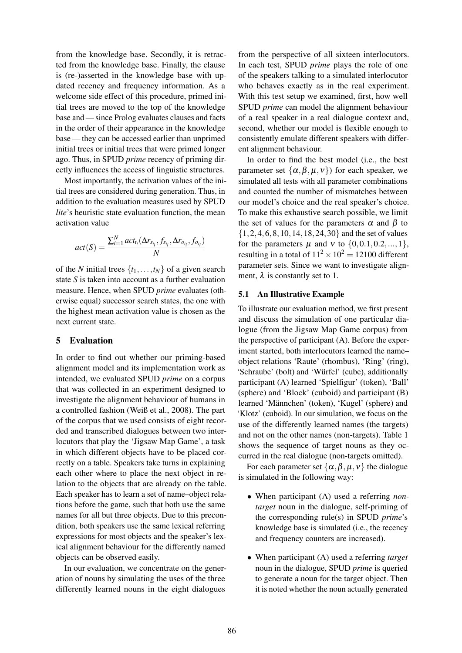from the knowledge base. Secondly, it is retracted from the knowledge base. Finally, the clause is (re-)asserted in the knowledge base with updated recency and frequency information. As a welcome side effect of this procedure, primed initial trees are moved to the top of the knowledge base and — since Prolog evaluates clauses and facts in the order of their appearance in the knowledge base — they can be accessed earlier than unprimed initial trees or initial trees that were primed longer ago. Thus, in SPUD *prime* recency of priming directly influences the access of linguistic structures.

Most importantly, the activation values of the initial trees are considered during generation. Thus, in addition to the evaluation measures used by SPUD *lite*'s heuristic state evaluation function, the mean activation value

$$
\overline{act}(S) = \frac{\sum_{i=1}^{N}act_{t_i}(\Delta r_{s_{t_i}}, f_{s_{t_i}}, \Delta r_{o_{t_i}}, f_{o_{t_i}})}{N}
$$

of the *N* initial trees  $\{t_1, \ldots, t_N\}$  of a given search state *S* is taken into account as a further evaluation measure. Hence, when SPUD *prime* evaluates (otherwise equal) successor search states, the one with the highest mean activation value is chosen as the next current state.

#### 5 Evaluation

In order to find out whether our priming-based alignment model and its implementation work as intended, we evaluated SPUD *prime* on a corpus that was collected in an experiment designed to investigate the alignment behaviour of humans in a controlled fashion (Weiß et al., 2008). The part of the corpus that we used consists of eight recorded and transcribed dialogues between two interlocutors that play the 'Jigsaw Map Game', a task in which different objects have to be placed correctly on a table. Speakers take turns in explaining each other where to place the next object in relation to the objects that are already on the table. Each speaker has to learn a set of name–object relations before the game, such that both use the same names for all but three objects. Due to this precondition, both speakers use the same lexical referring expressions for most objects and the speaker's lexical alignment behaviour for the differently named objects can be observed easily.

In our evaluation, we concentrate on the generation of nouns by simulating the uses of the three differently learned nouns in the eight dialogues

from the perspective of all sixteen interlocutors. In each test, SPUD *prime* plays the role of one of the speakers talking to a simulated interlocutor who behaves exactly as in the real experiment. With this test setup we examined, first, how well SPUD *prime* can model the alignment behaviour of a real speaker in a real dialogue context and, second, whether our model is flexible enough to consistently emulate different speakers with different alignment behaviour.

In order to find the best model (i.e., the best parameter set  $\{\alpha, \beta, \mu, \nu\}$  for each speaker, we simulated all tests with all parameter combinations and counted the number of mismatches between our model's choice and the real speaker's choice. To make this exhaustive search possible, we limit the set of values for the parameters  $\alpha$  and  $\beta$  to  $\{1, 2, 4, 6, 8, 10, 14, 18, 24, 30\}$  and the set of values for the parameters  $\mu$  and  $\nu$  to  $\{0,0.1,0.2,...,1\}$ , resulting in a total of  $11^2 \times 10^2 = 12100$  different parameter sets. Since we want to investigate alignment,  $\lambda$  is constantly set to 1.

#### 5.1 An Illustrative Example

To illustrate our evaluation method, we first present and discuss the simulation of one particular dialogue (from the Jigsaw Map Game corpus) from the perspective of participant (A). Before the experiment started, both interlocutors learned the name– object relations 'Raute' (rhombus), 'Ring' (ring), 'Schraube' (bolt) and 'Wurfel' (cube), additionally ¨ participant (A) learned 'Spielfigur' (token), 'Ball' (sphere) and 'Block' (cuboid) and participant (B) learned 'Männchen' (token), 'Kugel' (sphere) and 'Klotz' (cuboid). In our simulation, we focus on the use of the differently learned names (the targets) and not on the other names (non-targets). Table 1 shows the sequence of target nouns as they occurred in the real dialogue (non-targets omitted).

For each parameter set  $\{\alpha, \beta, \mu, \nu\}$  the dialogue is simulated in the following way:

- When participant (A) used a referring *nontarget* noun in the dialogue, self-priming of the corresponding rule(s) in SPUD *prime*'s knowledge base is simulated (i.e., the recency and frequency counters are increased).
- When participant (A) used a referring *target* noun in the dialogue, SPUD *prime* is queried to generate a noun for the target object. Then it is noted whether the noun actually generated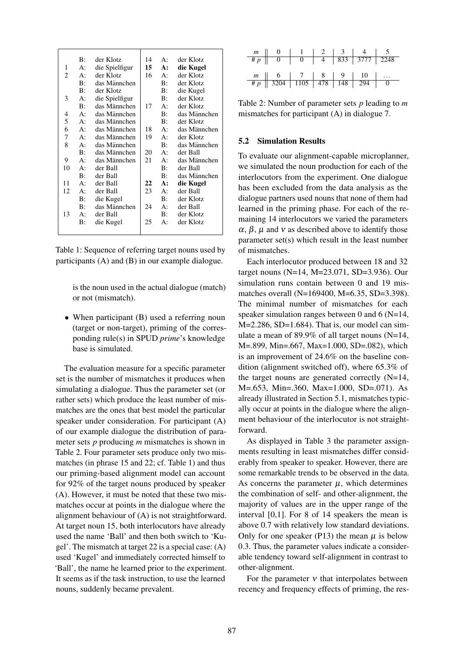|    | B:          | der Klotz      | 14 | $A^{\cdot}$    | der Klotz    |
|----|-------------|----------------|----|----------------|--------------|
| 1  | A:          | die Spielfigur | 15 | $A$ :          | die Kugel    |
| 2  | $A$ :       | der Klotz      | 16 | $A$ :          | der Klotz    |
|    | B:          | das Männchen   |    | B:             | der Klotz    |
|    | B:          | der Klotz      |    | B:             | die Kugel    |
| 3  | A:          | die Spielfigur |    | $\mathbf{B}$ : | der Klotz    |
|    | B:          | das Männchen   | 17 | $A^{\cdot}$    | der Klotz    |
| 4  | $A^{\cdot}$ | das Männchen   |    | B:             | das Männchen |
| 5  | $A$ :       | das Männchen   |    | B:             | der Klotz    |
| 6  | A:          | das Männchen   | 18 | $A$ :          | das Männchen |
| 7  | $A$ :       | das Männchen   | 19 | $A$ :          | der Klotz    |
| 8  | $A$ :       | das Männchen   |    | B:             | das Männchen |
|    | B:          | das Männchen   | 20 | $A$ :          | der Ball     |
| 9  | $A$ :       | das Männchen   | 21 | $A$ :          | das Männchen |
| 10 | $A$ :       | der Ball       |    | B:             | der Ball     |
|    | B:          | der Ball       |    | B:             | das Männchen |
| 11 | $A$ :       | der Ball       | 22 | $A$ :          | die Kugel    |
| 12 | $A^{\cdot}$ | der Ball       | 23 | $A$ :          | der Ball     |
|    | B:          | die Kugel      |    | B:             | der Klotz    |
|    | B:          | das Männchen   | 24 | $A$ :          | der Ball     |
| 13 | A:          | der Ball       |    | B:             | der Klotz    |
|    | B:          | die Kugel      | 25 | $A$ :          | der Klotz    |
|    |             |                |    |                |              |
|    |             |                |    |                |              |

Table 1: Sequence of referring target nouns used by participants (A) and (B) in our example dialogue.

is the noun used in the actual dialogue (match) or not (mismatch).

• When participant (B) used a referring noun (target or non-target), priming of the corresponding rule(s) in SPUD *prime*'s knowledge base is simulated.

The evaluation measure for a specific parameter set is the number of mismatches it produces when simulating a dialogue. Thus the parameter set (or rather sets) which produce the least number of mismatches are the ones that best model the particular speaker under consideration. For participant (A) of our example dialogue the distribution of parameter sets *p* producing *m* mismatches is shown in Table 2. Four parameter sets produce only two mismatches (in phrase 15 and 22; cf. Table 1) and thus our priming-based alignment model can account for 92% of the target nouns produced by speaker (A). However, it must be noted that these two mismatches occur at points in the dialogue where the alignment behaviour of (A) is not straightforward. At target noun 15, both interlocutors have already used the name 'Ball' and then both switch to 'Kugel'. The mismatch at target 22 is a special case: (A) used 'Kugel' and immediately corrected himself to 'Ball', the name he learned prior to the experiment. It seems as if the task instruction, to use the learned nouns, suddenly became prevalent.

Table 2: Number of parameter sets *p* leading to *m* mismatches for participant (A) in dialogue 7.

#### 5.2 Simulation Results

To evaluate our alignment-capable microplanner, we simulated the noun production for each of the interlocutors from the experiment. One dialogue has been excluded from the data analysis as the dialogue partners used nouns that none of them had learned in the priming phase. For each of the remaining 14 interlocutors we varied the parameters  $\alpha$ ,  $\beta$ ,  $\mu$  and v as described above to identify those parameter set(s) which result in the least number of mismatches.

Each interlocutor produced between 18 and 32 target nouns (N=14, M=23.071, SD=3.936). Our simulation runs contain between 0 and 19 mismatches overall (N=169400, M=6.35, SD=3.398). The minimal number of mismatches for each speaker simulation ranges between 0 and 6 (N=14, M=2.286, SD=1.684). That is, our model can simulate a mean of 89.9% of all target nouns  $(N=14,$ M=.899, Min=.667, Max=1.000, SD=.082), which is an improvement of 24.6% on the baseline condition (alignment switched off), where 65.3% of the target nouns are generated correctly (N=14, M=.653, Min=.360, Max=1.000, SD=.071). As already illustrated in Section 5.1, mismatches typically occur at points in the dialogue where the alignment behaviour of the interlocutor is not straightforward.

As displayed in Table 3 the parameter assignments resulting in least mismatches differ considerably from speaker to speaker. However, there are some remarkable trends to be observed in the data. As concerns the parameter  $\mu$ , which determines the combination of self- and other-alignment, the majority of values are in the upper range of the interval [0,1]. For 8 of 14 speakers the mean is above 0.7 with relatively low standard deviations. Only for one speaker (P13) the mean  $\mu$  is below 0.3. Thus, the parameter values indicate a considerable tendency toward self-alignment in contrast to other-alignment.

For the parameter  $\nu$  that interpolates between recency and frequency effects of priming, the res-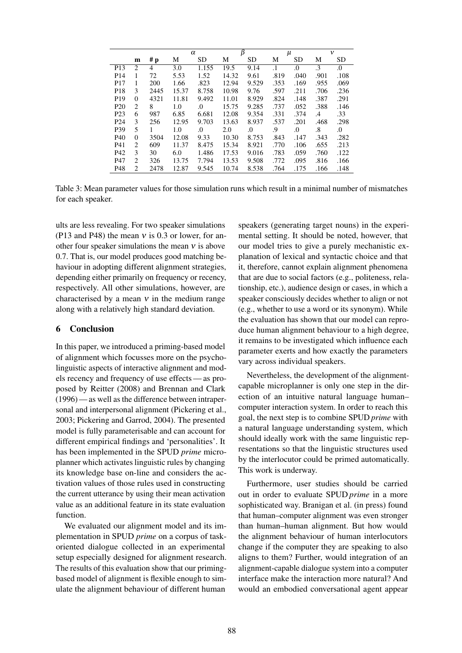|                 |                             |      | $\alpha$ |           | β     |           | μ         |           | v                 |         |
|-----------------|-----------------------------|------|----------|-----------|-------|-----------|-----------|-----------|-------------------|---------|
|                 | $\mathbf{m}$                | # p  | М        | <b>SD</b> | М     | <b>SD</b> | М         | <b>SD</b> | М                 | SD      |
| P <sub>13</sub> | $\mathcal{D}_{\mathcal{L}}$ | 4    | 3.0      | 1.155     | 19.5  | 9.14      | $\cdot$ 1 | $_{0}$    | .3                | $\cdot$ |
| P <sub>14</sub> |                             | 72   | 5.53     | 1.52      | 14.32 | 9.61      | .819      | .040      | .901              | .108    |
| P <sub>17</sub> | 1                           | 200  | 1.66     | .823      | 12.94 | 9.529     | .353      | .169      | .955              | .069    |
| P <sub>18</sub> | 3                           | 2445 | 15.37    | 8.758     | 10.98 | 9.76      | .597      | .211      | .706              | .236    |
| P <sub>19</sub> | $\Omega$                    | 4321 | 11.81    | 9.492     | 11.01 | 8.929     | .824      | .148      | .387              | .291    |
| P <sub>20</sub> | $\overline{c}$              | 8    | 1.0      | .0        | 15.75 | 9.285     | .737      | .052      | .388              | .146    |
| P <sub>23</sub> | 6                           | 987  | 6.85     | 6.681     | 12.08 | 9.354     | .331      | .374      | .4                | .33     |
| P <sub>24</sub> | 3                           | 256  | 12.95    | 9.703     | 13.63 | 8.937     | .537      | .201      | .468              | .298    |
| P39             | 5                           |      | 1.0      | .0        | 2.0   | .0        | .9        | $\cdot$   | $\boldsymbol{.8}$ | .0      |
| P <sub>40</sub> | $\theta$                    | 3504 | 12.08    | 9.33      | 10.30 | 8.753     | .843      | .147      | .343              | .282    |
| P41             | 2                           | 609  | 11.37    | 8.475     | 15.34 | 8.921     | .770      | .106      | .655              | .213    |
| P42             | 3                           | 30   | 6.0      | 1.486     | 17.53 | 9.016     | .783      | .059      | .760              | .122    |
| P47             | $\overline{c}$              | 326  | 13.75    | 7.794     | 13.53 | 9.508     | .772      | .095      | .816              | .166    |
| P48             | $\overline{c}$              | 2478 | 12.87    | 9.545     | 10.74 | 8.538     | .764      | .175      | .166              | .148    |

Table 3: Mean parameter values for those simulation runs which result in a minimal number of mismatches for each speaker.

ults are less revealing. For two speaker simulations (P13 and P48) the mean  $v$  is 0.3 or lower, for another four speaker simulations the mean  $v$  is above 0.7. That is, our model produces good matching behaviour in adopting different alignment strategies, depending either primarily on frequency or recency, respectively. All other simulations, however, are characterised by a mean  $v$  in the medium range along with a relatively high standard deviation.

# 6 Conclusion

In this paper, we introduced a priming-based model of alignment which focusses more on the psycholinguistic aspects of interactive alignment and models recency and frequency of use effects — as proposed by Reitter (2008) and Brennan and Clark (1996) — as well as the difference between intrapersonal and interpersonal alignment (Pickering et al., 2003; Pickering and Garrod, 2004). The presented model is fully parameterisable and can account for different empirical findings and 'personalities'. It has been implemented in the SPUD *prime* microplanner which activates linguistic rules by changing its knowledge base on-line and considers the activation values of those rules used in constructing the current utterance by using their mean activation value as an additional feature in its state evaluation function.

We evaluated our alignment model and its implementation in SPUD *prime* on a corpus of taskoriented dialogue collected in an experimental setup especially designed for alignment research. The results of this evaluation show that our primingbased model of alignment is flexible enough to simulate the alignment behaviour of different human speakers (generating target nouns) in the experimental setting. It should be noted, however, that our model tries to give a purely mechanistic explanation of lexical and syntactic choice and that it, therefore, cannot explain alignment phenomena that are due to social factors (e.g., politeness, relationship, etc.), audience design or cases, in which a speaker consciously decides whether to align or not (e.g., whether to use a word or its synonym). While the evaluation has shown that our model can reproduce human alignment behaviour to a high degree, it remains to be investigated which influence each parameter exerts and how exactly the parameters vary across individual speakers.

Nevertheless, the development of the alignmentcapable microplanner is only one step in the direction of an intuitive natural language human– computer interaction system. In order to reach this goal, the next step is to combine SPUD *prime* with a natural language understanding system, which should ideally work with the same linguistic representations so that the linguistic structures used by the interlocutor could be primed automatically. This work is underway.

Furthermore, user studies should be carried out in order to evaluate SPUD *prime* in a more sophisticated way. Branigan et al. (in press) found that human–computer alignment was even stronger than human–human alignment. But how would the alignment behaviour of human interlocutors change if the computer they are speaking to also aligns to them? Further, would integration of an alignment-capable dialogue system into a computer interface make the interaction more natural? And would an embodied conversational agent appear